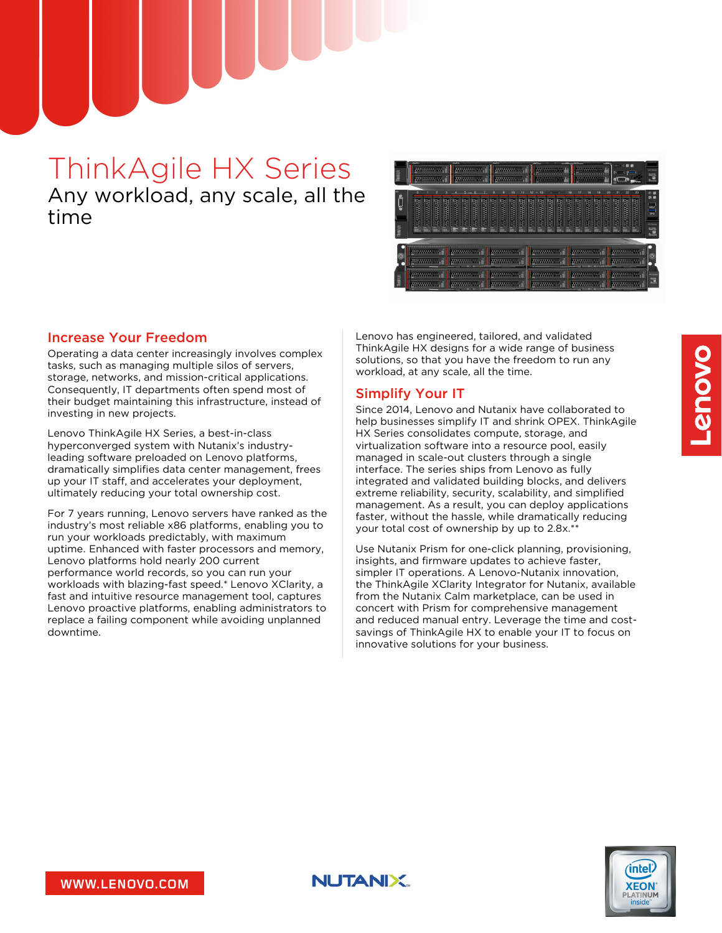# ThinkAgile HX Series Any workload, any scale, all the time



### Increase Your Freedom

Operating a data center increasingly involves complex tasks, such as managing multiple silos of servers, storage, networks, and mission-critical applications. Consequently, IT departments often spend most of their budget maintaining this infrastructure, instead of investing in new projects.

Lenovo ThinkAgile HX Series, a best-in-class hyperconverged system with Nutanix's industryleading software preloaded on Lenovo platforms, dramatically simplifies data center management, frees up your IT staff, and accelerates your deployment, ultimately reducing your total ownership cost.

For 7 years running, Lenovo servers have ranked as the industry's most reliable x86 platforms, enabling you to run your workloads predictably, with maximum uptime. Enhanced with faster processors and memory, Lenovo platforms hold nearly 200 current performance world records, so you can run your workloads with blazing-fast speed.\* Lenovo XClarity, a fast and intuitive resource management tool, captures Lenovo proactive platforms, enabling administrators to replace a failing component while avoiding unplanned downtime.

Lenovo has engineered, tailored, and validated ThinkAgile HX designs for a wide range of business solutions, so that you have the freedom to run any workload, at any scale, all the time.

## Simplify Your IT

Since 2014, Lenovo and Nutanix have collaborated to help businesses simplify IT and shrink OPEX. ThinkAgile HX Series consolidates compute, storage, and virtualization software into a resource pool, easily managed in scale-out clusters through a single interface. The series ships from Lenovo as fully integrated and validated building blocks, and delivers extreme reliability, security, scalability, and simplified management. As a result, you can deploy applications faster, without the hassle, while dramatically reducing your total cost of ownership by up to 2.8x.\*

Use Nutanix Prism for one-click planning, provisioning, insights, and firmware updates to achieve faster, simpler IT operations. A Lenovo-Nutanix innovation, the ThinkAgile XClarity Integrator for Nutanix, available from the Nutanix Calm marketplace, can be used in concert with Prism for comprehensive management and reduced manual entry. Leverage the time and costsavings of ThinkAgile HX to enable your IT to focus on innovative solutions for your business.



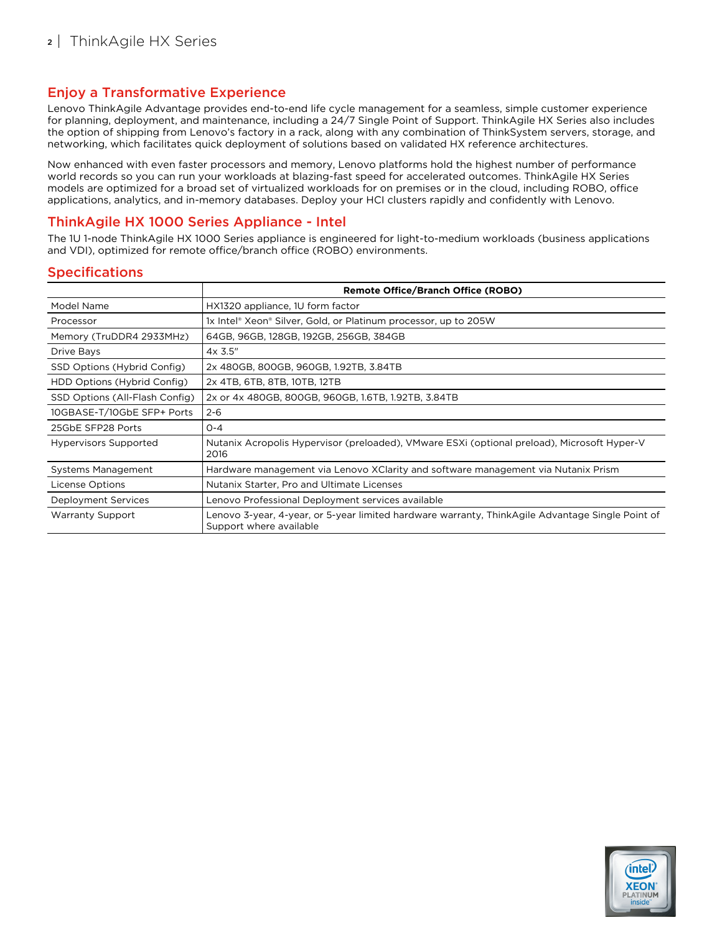## Enjoy a Transformative Experience

Lenovo ThinkAgile Advantage provides end-to-end life cycle management for a seamless, simple customer experience for planning, deployment, and maintenance, including a 24/7 Single Point of Support. ThinkAgile HX Series also includes the option of shipping from Lenovo's factory in a rack, along with any combination of ThinkSystem servers, storage, and networking, which facilitates quick deployment of solutions based on validated HX reference architectures.

Now enhanced with even faster processors and memory, Lenovo platforms hold the highest number of performance world records so you can run your workloads at blazing-fast speed for accelerated outcomes. ThinkAgile HX Series models are optimized for a broad set of virtualized workloads for on premises or in the cloud, including ROBO, office applications, analytics, and in-memory databases. Deploy your HCI clusters rapidly and confidently with Lenovo.

## ThinkAgile HX 1000 Series Appliance - Intel

The 1U 1-node ThinkAgile HX 1000 Series appliance is engineered for light-to-medium workloads (business applications and VDI), optimized for remote office/branch office (ROBO) environments.

|                                | <b>Remote Office/Branch Office (ROBO)</b>                                                                                   |  |  |
|--------------------------------|-----------------------------------------------------------------------------------------------------------------------------|--|--|
| Model Name                     | HX1320 appliance, 1U form factor                                                                                            |  |  |
| Processor                      | 1x Intel® Xeon® Silver, Gold, or Platinum processor, up to 205W                                                             |  |  |
| Memory (TruDDR4 2933MHz)       | 64GB, 96GB, 128GB, 192GB, 256GB, 384GB                                                                                      |  |  |
| Drive Bays                     | $4x$ 3.5"                                                                                                                   |  |  |
| SSD Options (Hybrid Config)    | 2x 480GB, 800GB, 960GB, 1.92TB, 3.84TB                                                                                      |  |  |
| HDD Options (Hybrid Config)    | 2x 4TB, 6TB, 8TB, 10TB, 12TB                                                                                                |  |  |
| SSD Options (All-Flash Config) | 2x or 4x 480GB, 800GB, 960GB, 1.6TB, 1.92TB, 3.84TB                                                                         |  |  |
| 10GBASE-T/10GbE SFP+ Ports     | $2 - 6$                                                                                                                     |  |  |
| 25GbE SFP28 Ports              | $O - 4$                                                                                                                     |  |  |
| <b>Hypervisors Supported</b>   | Nutanix Acropolis Hypervisor (preloaded), VMware ESXi (optional preload), Microsoft Hyper-V<br>2016                         |  |  |
| Systems Management             | Hardware management via Lenovo XClarity and software management via Nutanix Prism                                           |  |  |
| License Options                | Nutanix Starter, Pro and Ultimate Licenses                                                                                  |  |  |
| Deployment Services            | Lenovo Professional Deployment services available                                                                           |  |  |
| <b>Warranty Support</b>        | Lenovo 3-year, 4-year, or 5-year limited hardware warranty, ThinkAgile Advantage Single Point of<br>Support where available |  |  |

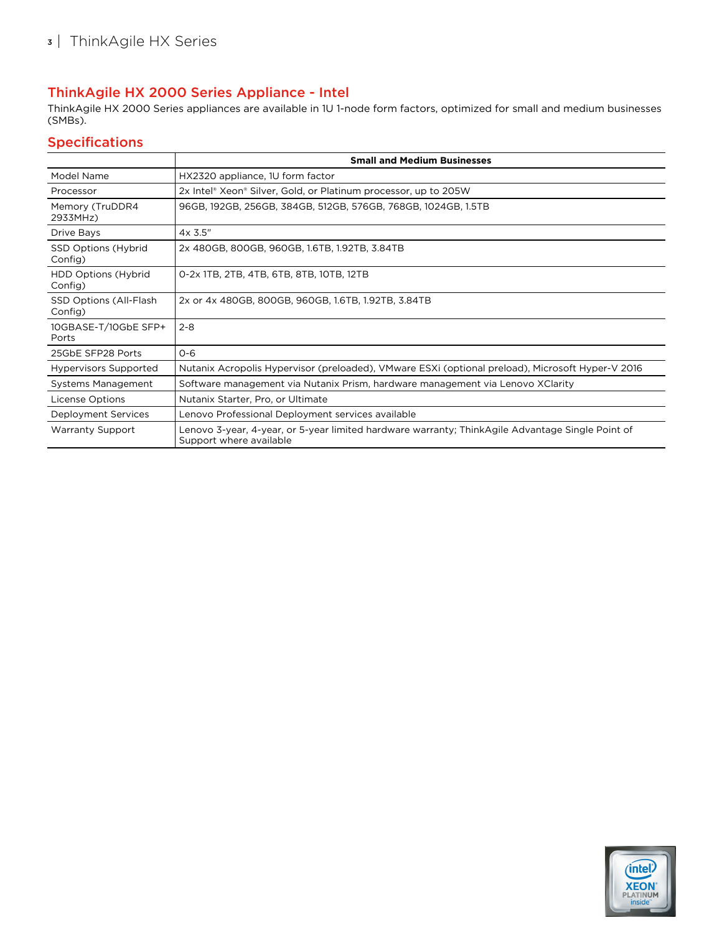# ThinkAgile HX 2000 Series Appliance - Intel

ThinkAgile HX 2000 Series appliances are available in 1U 1-node form factors, optimized for small and medium businesses (SMBs).

|                                          | <b>Small and Medium Businesses</b>                                                                                          |  |  |
|------------------------------------------|-----------------------------------------------------------------------------------------------------------------------------|--|--|
| Model Name                               | HX2320 appliance, 1U form factor                                                                                            |  |  |
| Processor                                | 2x Intel® Xeon® Silver, Gold, or Platinum processor, up to 205W                                                             |  |  |
| Memory (TruDDR4<br>2933MHz)              | 96GB, 192GB, 256GB, 384GB, 512GB, 576GB, 768GB, 1024GB, 1.5TB                                                               |  |  |
| Drive Bays                               | $4x$ 3.5"                                                                                                                   |  |  |
| <b>SSD Options (Hybrid</b><br>Config)    | 2x 480GB, 800GB, 960GB, 1.6TB, 1.92TB, 3.84TB                                                                               |  |  |
| HDD Options (Hybrid<br>Config)           | 0-2x 1TB, 2TB, 4TB, 6TB, 8TB, 10TB, 12TB                                                                                    |  |  |
| <b>SSD Options (All-Flash</b><br>Config) | 2x or 4x 480GB, 800GB, 960GB, 1.6TB, 1.92TB, 3.84TB                                                                         |  |  |
| 10GBASE-T/10GbE SFP+<br>Ports            | $2 - 8$                                                                                                                     |  |  |
| 25GbE SFP28 Ports                        | $O - 6$                                                                                                                     |  |  |
| <b>Hypervisors Supported</b>             | Nutanix Acropolis Hypervisor (preloaded), VMware ESXi (optional preload), Microsoft Hyper-V 2016                            |  |  |
| Systems Management                       | Software management via Nutanix Prism, hardware management via Lenovo XClarity                                              |  |  |
| License Options                          | Nutanix Starter, Pro, or Ultimate                                                                                           |  |  |
| Deployment Services                      | Lenovo Professional Deployment services available                                                                           |  |  |
| <b>Warranty Support</b>                  | Lenovo 3-year, 4-year, or 5-year limited hardware warranty; ThinkAgile Advantage Single Point of<br>Support where available |  |  |

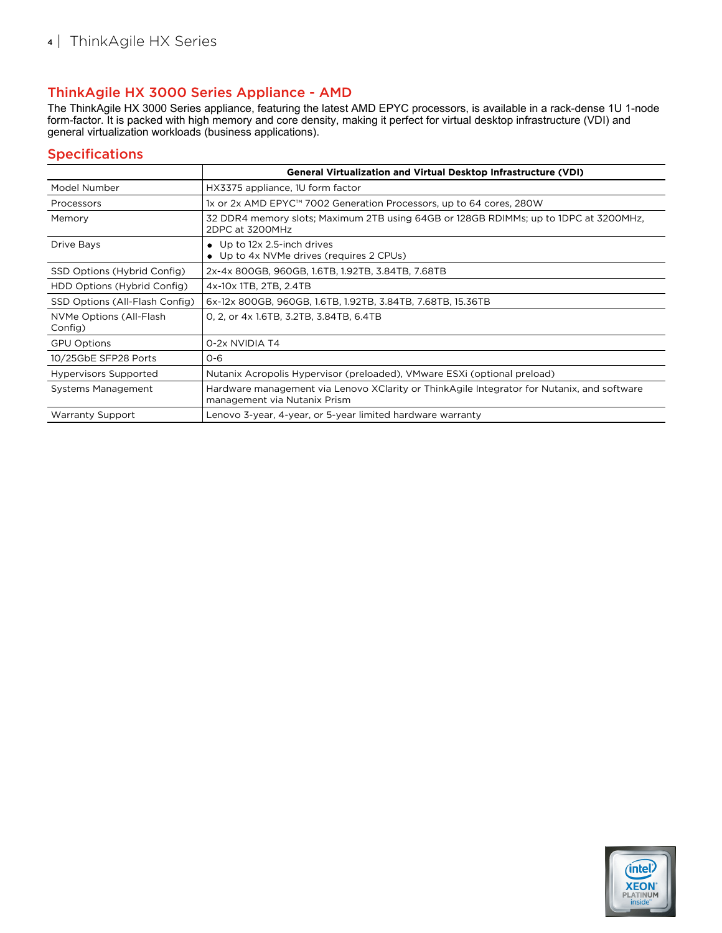# ThinkAgile HX 3000 Series Appliance - AMD

The ThinkAgile HX 3000 Series appliance, featuring the latest AMD EPYC processors, is available in a rack-dense 1U 1-node form-factor. It is packed with high memory and core density, making it perfect for virtual desktop infrastructure (VDI) and general virtualization workloads (business applications).

|                                    | <b>General Virtualization and Virtual Desktop Infrastructure (VDI)</b>                                                     |  |  |
|------------------------------------|----------------------------------------------------------------------------------------------------------------------------|--|--|
| Model Number                       | HX3375 appliance, 1U form factor                                                                                           |  |  |
| Processors                         | 1x or 2x AMD EPYC™ 7002 Generation Processors, up to 64 cores, 280W                                                        |  |  |
| Memory                             | 32 DDR4 memory slots; Maximum 2TB using 64GB or 128GB RDIMMs; up to 1DPC at 3200MHz,<br>2DPC at 3200MHz                    |  |  |
| Drive Bays                         | Up to 12x 2.5-inch drives<br>$\bullet$<br>Up to 4x NVMe drives (requires 2 CPUs)<br>٠                                      |  |  |
| SSD Options (Hybrid Config)        | 2x-4x 800GB, 960GB, 1.6TB, 1.92TB, 3.84TB, 7.68TB                                                                          |  |  |
| HDD Options (Hybrid Config)        | 4x-10x 1TB, 2TB, 2.4TB                                                                                                     |  |  |
| SSD Options (All-Flash Config)     | 6x-12x 800GB, 960GB, 1.6TB, 1.92TB, 3.84TB, 7.68TB, 15.36TB                                                                |  |  |
| NVMe Options (All-Flash<br>Config) | 0, 2, or 4x 1.6TB, 3.2TB, 3.84TB, 6.4TB                                                                                    |  |  |
| <b>GPU Options</b>                 | 0-2x NVIDIA T4                                                                                                             |  |  |
| 10/25GbE SFP28 Ports               | $O - 6$                                                                                                                    |  |  |
| <b>Hypervisors Supported</b>       | Nutanix Acropolis Hypervisor (preloaded), VMware ESXI (optional preload)                                                   |  |  |
| Systems Management                 | Hardware management via Lenovo XClarity or ThinkAgile Integrator for Nutanix, and software<br>management via Nutanix Prism |  |  |
| <b>Warranty Support</b>            | Lenovo 3-year, 4-year, or 5-year limited hardware warranty                                                                 |  |  |

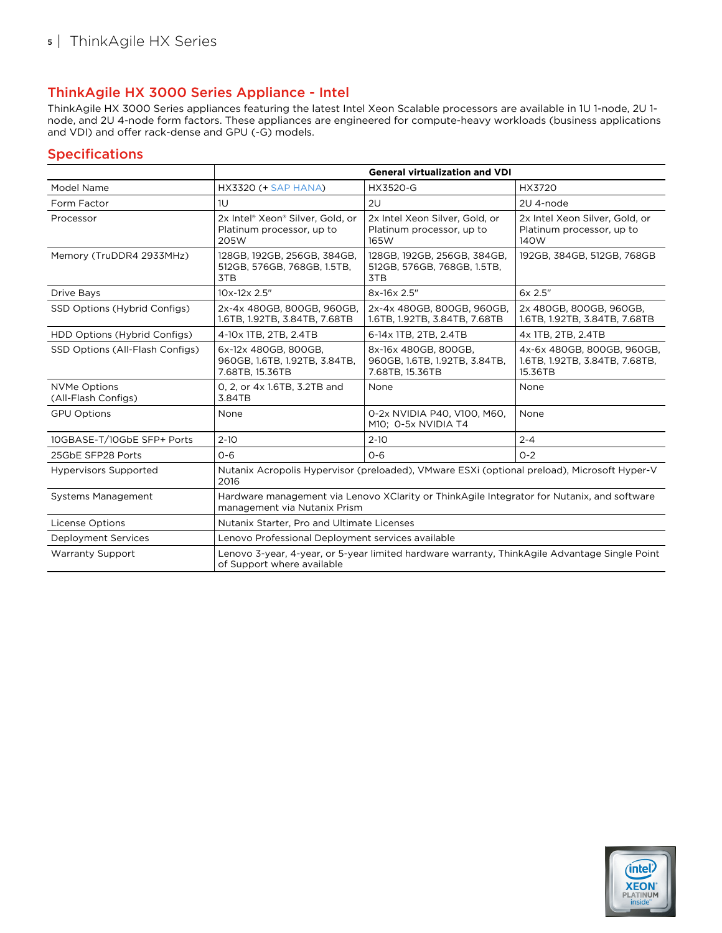# ThinkAgile HX 3000 Series Appliance - Intel

ThinkAgile HX 3000 Series appliances featuring the latest Intel Xeon Scalable processors are available in 1U 1-node, 2U 1 node, and 2U 4-node form factors. These appliances are engineered for compute-heavy workloads (business applications and VDI) and offer rack-dense and GPU (-G) models.

|                                            | <b>General virtualization and VDI</b>                                                                                       |                                                                          |                                                                         |  |
|--------------------------------------------|-----------------------------------------------------------------------------------------------------------------------------|--------------------------------------------------------------------------|-------------------------------------------------------------------------|--|
| Model Name                                 | <b>HX3320 (+ SAP HANA)</b>                                                                                                  | HX3520-G                                                                 | HX3720                                                                  |  |
| Form Factor                                | 1U                                                                                                                          | 2U                                                                       | 2U 4-node                                                               |  |
| Processor                                  | 2x Intel® Xeon® Silver, Gold, or<br>Platinum processor, up to<br>205W                                                       | 2x Intel Xeon Silver, Gold, or<br>Platinum processor, up to<br>165W      | 2x Intel Xeon Silver, Gold, or<br>Platinum processor, up to<br>140W     |  |
| Memory (TruDDR4 2933MHz)                   | 128GB, 192GB, 256GB, 384GB,<br>512GB, 576GB, 768GB, 1.5TB,<br>3TB                                                           | 128GB, 192GB, 256GB, 384GB,<br>512GB, 576GB, 768GB, 1.5TB,<br>3TB        | 192GB, 384GB, 512GB, 768GB                                              |  |
| Drive Bays                                 | 10x-12x 2.5"                                                                                                                | 8x-16x 2.5"                                                              | 6x 2.5"                                                                 |  |
| SSD Options (Hybrid Configs)               | 2x-4x 480GB, 800GB, 960GB,<br>1.6TB, 1.92TB, 3.84TB, 7.68TB                                                                 | 2x-4x 480GB, 800GB, 960GB,<br>1.6TB, 1.92TB, 3.84TB, 7.68TB              | 2x 480GB, 800GB, 960GB,<br>1.6TB, 1.92TB, 3.84TB, 7.68TB                |  |
| HDD Options (Hybrid Configs)               | 4-10x 1TB, 2TB, 2.4TB                                                                                                       | 6-14x 1TB, 2TB, 2.4TB                                                    | 4x 1TB, 2TB, 2.4TB                                                      |  |
| SSD Options (All-Flash Configs)            | 6x-12x 480GB, 800GB,<br>960GB, 1.6TB, 1.92TB, 3.84TB,<br>7.68TB, 15.36TB                                                    | 8x-16x 480GB, 800GB,<br>960GB, 1.6TB, 1.92TB, 3.84TB,<br>7.68TB, 15.36TB | 4x-6x 480GB, 800GB, 960GB,<br>1.6TB, 1.92TB, 3.84TB, 7.68TB,<br>15.36TB |  |
| <b>NVMe Options</b><br>(All-Flash Configs) | 0, 2, or 4x 1.6TB, 3.2TB and<br>3.84TB                                                                                      | None                                                                     | None                                                                    |  |
| <b>GPU Options</b>                         | None                                                                                                                        | 0-2x NVIDIA P40, V100, M60,<br>M10; O-5x NVIDIA T4                       | None                                                                    |  |
| 10GBASE-T/10GbE SFP+ Ports                 | $2 - 10$                                                                                                                    | $2 - 10$                                                                 | $2 - 4$                                                                 |  |
| 25GbE SFP28 Ports                          | $O - 6$                                                                                                                     | $O - 6$                                                                  | $O - 2$                                                                 |  |
| <b>Hypervisors Supported</b>               | Nutanix Acropolis Hypervisor (preloaded), VMware ESXi (optional preload), Microsoft Hyper-V<br>2016                         |                                                                          |                                                                         |  |
| <b>Systems Management</b>                  | Hardware management via Lenovo XClarity or ThinkAgile Integrator for Nutanix, and software<br>management via Nutanix Prism  |                                                                          |                                                                         |  |
| License Options                            | Nutanix Starter, Pro and Ultimate Licenses                                                                                  |                                                                          |                                                                         |  |
| <b>Deployment Services</b>                 | Lenovo Professional Deployment services available                                                                           |                                                                          |                                                                         |  |
| <b>Warranty Support</b>                    | Lenovo 3-year, 4-year, or 5-year limited hardware warranty, ThinkAgile Advantage Single Point<br>of Support where available |                                                                          |                                                                         |  |

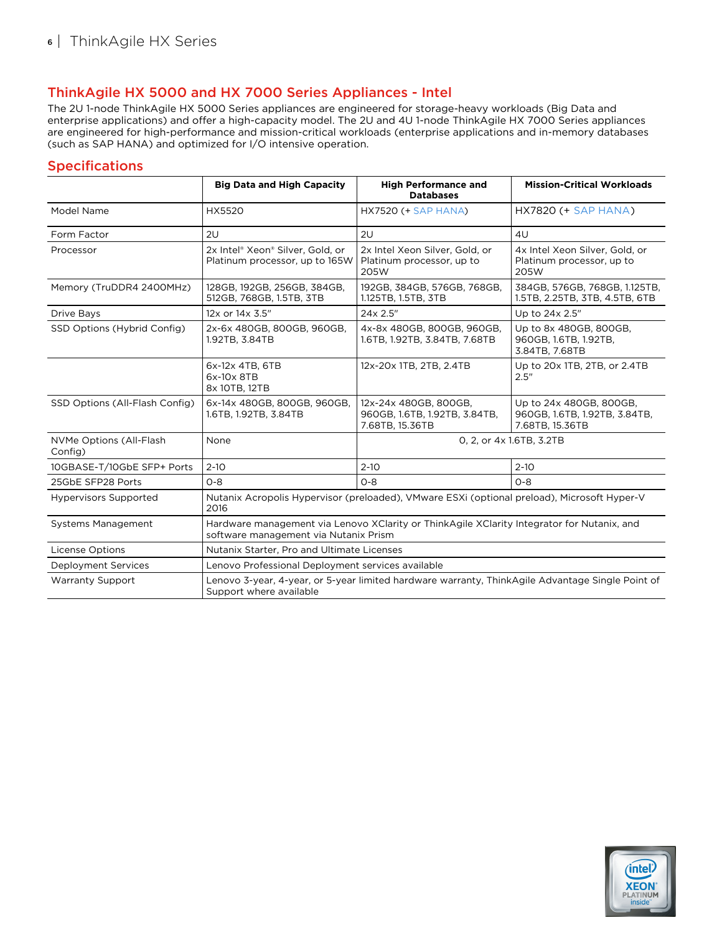# ThinkAgile HX 5000 and HX 7000 Series Appliances - Intel

The 2U 1-node ThinkAgile HX 5000 Series appliances are engineered for storage-heavy workloads (Big Data and enterprise applications) and offer a high-capacity model. The 2U and 4U 1-node ThinkAgile HX 7000 Series appliances are engineered for high-performance and mission-critical workloads (enterprise applications and in-memory databases (such as SAP HANA) and optimized for I/O intensive operation.

|                                    | <b>Big Data and High Capacity</b>                                                                                                   | <b>High Performance and</b><br><b>Databases</b>                           | <b>Mission-Critical Workloads</b>                                           |  |
|------------------------------------|-------------------------------------------------------------------------------------------------------------------------------------|---------------------------------------------------------------------------|-----------------------------------------------------------------------------|--|
| Model Name                         | HX5520                                                                                                                              | <b>HX7520 (+ SAP HANA)</b>                                                | $HX7820 (+ SAP HANA)$                                                       |  |
| Form Factor                        | 2U                                                                                                                                  | 2U                                                                        | 4U                                                                          |  |
| Processor                          | 2x Intel® Xeon® Silver, Gold, or<br>Platinum processor, up to 165W                                                                  | 2x Intel Xeon Silver, Gold, or<br>Platinum processor, up to<br>205W       | 4x Intel Xeon Silver, Gold, or<br>Platinum processor, up to<br>205W         |  |
| Memory (TruDDR4 2400MHz)           | 128GB, 192GB, 256GB, 384GB,<br>512GB, 768GB, 1.5TB, 3TB                                                                             | 192GB, 384GB, 576GB, 768GB,<br>1.125TB, 1.5TB, 3TB                        | 384GB, 576GB, 768GB, 1.125TB,<br>1.5TB, 2.25TB, 3TB, 4.5TB, 6TB             |  |
| Drive Bays                         | 12x or 14x 3.5"                                                                                                                     | 24x 2.5"                                                                  | Up to 24x 2.5"                                                              |  |
| SSD Options (Hybrid Config)        | 2x-6x 480GB, 800GB, 960GB,<br>1.92TB, 3.84TB                                                                                        | 4x-8x 480GB, 800GB, 960GB,<br>1.6TB, 1.92TB, 3.84TB, 7.68TB               | Up to 8x 480GB, 800GB,<br>960GB, 1.6TB, 1.92TB,<br>3.84TB, 7.68TB           |  |
|                                    | 6x-12x 4TB, 6TB<br>6x-10x 8TB<br>8x 10TB, 12TB                                                                                      | 12x-20x 1TB, 2TB, 2.4TB                                                   | Up to 20x 1TB, 2TB, or 2.4TB<br>2.5''                                       |  |
| SSD Options (All-Flash Config)     | 6x-14x 480GB, 800GB, 960GB,<br>1.6TB, 1.92TB, 3.84TB                                                                                | 12x-24x 480GB, 800GB,<br>960GB, 1.6TB, 1.92TB, 3.84TB,<br>7.68TB, 15.36TB | Up to 24x 480GB, 800GB,<br>960GB, 1.6TB, 1.92TB, 3.84TB,<br>7.68TB, 15.36TB |  |
| NVMe Options (All-Flash<br>Config) | None                                                                                                                                | 0, 2, or 4x 1.6TB, 3.2TB                                                  |                                                                             |  |
| 10GBASE-T/10GbE SFP+ Ports         | $2 - 10$                                                                                                                            | $2 - 10$                                                                  | $2 - 10$                                                                    |  |
| 25GbE SFP28 Ports                  | $O - 8$                                                                                                                             | $O - 8$                                                                   | $O - 8$                                                                     |  |
| <b>Hypervisors Supported</b>       | Nutanix Acropolis Hypervisor (preloaded), VMware ESXi (optional preload), Microsoft Hyper-V<br>2016                                 |                                                                           |                                                                             |  |
| <b>Systems Management</b>          | Hardware management via Lenovo XClarity or ThinkAgile XClarity Integrator for Nutanix, and<br>software management via Nutanix Prism |                                                                           |                                                                             |  |
| <b>License Options</b>             | Nutanix Starter, Pro and Ultimate Licenses                                                                                          |                                                                           |                                                                             |  |
| <b>Deployment Services</b>         | Lenovo Professional Deployment services available                                                                                   |                                                                           |                                                                             |  |
| <b>Warranty Support</b>            | Lenovo 3-year, 4-year, or 5-year limited hardware warranty, ThinkAgile Advantage Single Point of<br>Support where available         |                                                                           |                                                                             |  |